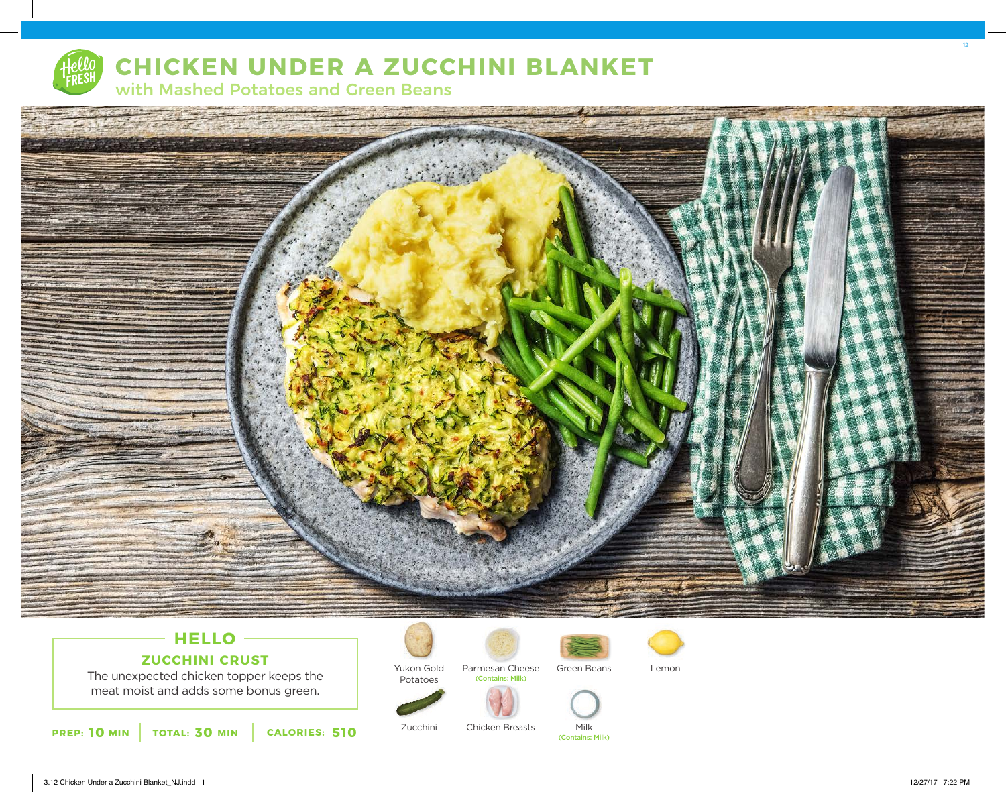

## **CHICKEN UNDER A ZUCCHINI BLANKET**

with Mashed Potatoes and Green Beans



### **HELLO ZUCCHINI CRUST**

The unexpected chicken topper keeps the meat moist and adds some bonus green.

**10** MIN | TOTAL: 30 MIN | CALORIES: 510



Zucchini

Potatoes Parmesan Cheese (Contains: Milk)



(Contains: Milk)



Chicken Breasts Milk



12